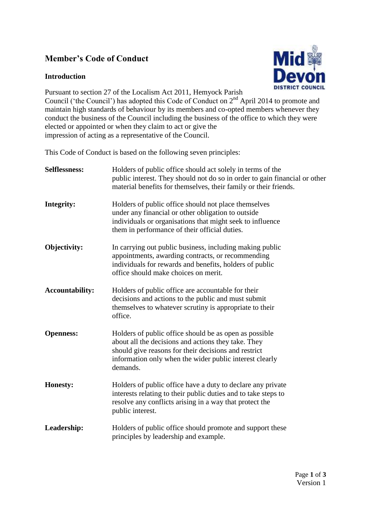# **Member's Code of Conduct**

# **Introduction**



Pursuant to section 27 of the Localism Act 2011, Hemyock Parish Council ('the Council') has adopted this Code of Conduct on 2nd April 2014 to promote and maintain high standards of behaviour by its members and co-opted members whenever they conduct the business of the Council including the business of the office to which they were elected or appointed or when they claim to act or give the impression of acting as a representative of the Council.

This Code of Conduct is based on the following seven principles:

| <b>Selflessness:</b>   | Holders of public office should act solely in terms of the<br>public interest. They should not do so in order to gain financial or other<br>material benefits for themselves, their family or their friends.                                 |
|------------------------|----------------------------------------------------------------------------------------------------------------------------------------------------------------------------------------------------------------------------------------------|
| Integrity:             | Holders of public office should not place themselves<br>under any financial or other obligation to outside<br>individuals or organisations that might seek to influence<br>them in performance of their official duties.                     |
| Objectivity:           | In carrying out public business, including making public<br>appointments, awarding contracts, or recommending<br>individuals for rewards and benefits, holders of public<br>office should make choices on merit.                             |
| <b>Accountability:</b> | Holders of public office are accountable for their<br>decisions and actions to the public and must submit<br>themselves to whatever scrutiny is appropriate to their<br>office.                                                              |
| <b>Openness:</b>       | Holders of public office should be as open as possible<br>about all the decisions and actions they take. They<br>should give reasons for their decisions and restrict<br>information only when the wider public interest clearly<br>demands. |
| <b>Honesty:</b>        | Holders of public office have a duty to declare any private<br>interests relating to their public duties and to take steps to<br>resolve any conflicts arising in a way that protect the<br>public interest.                                 |
| Leadership:            | Holders of public office should promote and support these<br>principles by leadership and example.                                                                                                                                           |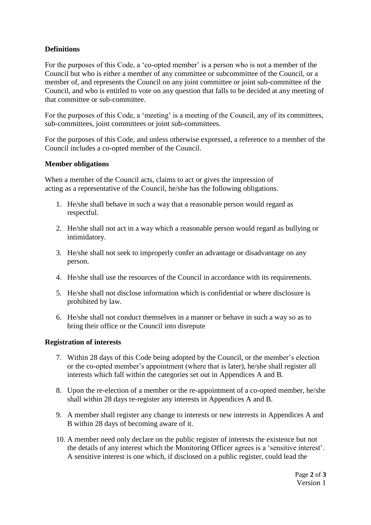# **Definitions**

For the purposes of this Code, a 'co-opted member' is a person who is not a member of the Council but who is either a member of any committee or subcommittee of the Council, or a member of, and represents the Council on any joint committee or joint sub-committee of the Council, and who is entitled to vote on any question that falls to be decided at any meeting of that committee or sub-committee.

For the purposes of this Code, a 'meeting' is a meeting of the Council, any of its committees, sub-committees, joint committees or joint sub-committees.

For the purposes of this Code, and unless otherwise expressed, a reference to a member of the Council includes a co-opted member of the Council.

## **Member obligations**

When a member of the Council acts, claims to act or gives the impression of acting as a representative of the Council, he/she has the following obligations.

- 1. He/she shall behave in such a way that a reasonable person would regard as respectful.
- 2. He/she shall not act in a way which a reasonable person would regard as bullying or intimidatory.
- 3. He/she shall not seek to improperly confer an advantage or disadvantage on any person.
- 4. He/she shall use the resources of the Council in accordance with its requirements.
- 5. He/she shall not disclose information which is confidential or where disclosure is prohibited by law.
- 6. He/she shall not conduct themselves in a manner or behave in such a way so as to bring their office or the Council into disrepute

#### **Registration of interests**

- 7. Within 28 days of this Code being adopted by the Council, or the member's election or the co-opted member's appointment (where that is later), he/she shall register all interests which fall within the categories set out in Appendices A and B.
- 8. Upon the re-election of a member or the re-appointment of a co-opted member, he/she shall within 28 days re-register any interests in Appendices A and B.
- 9. A member shall register any change to interests or new interests in Appendices A and B within 28 days of becoming aware of it.
- 10. A member need only declare on the public register of interests the existence but not the details of any interest which the Monitoring Officer agrees is a 'sensitive interest'. A sensitive interest is one which, if disclosed on a public register, could lead the